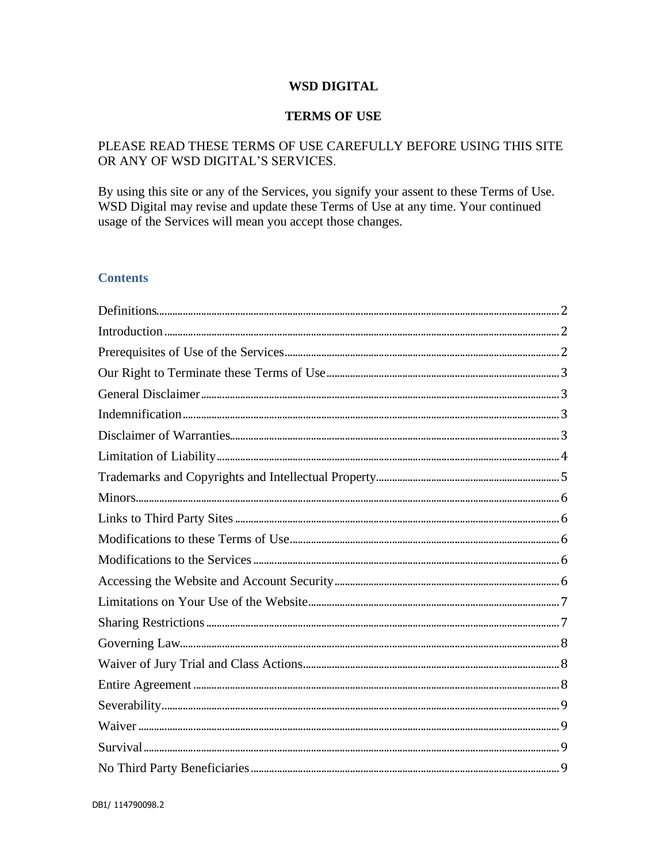# **WSD DIGITAL**

## **TERMS OF USE**

# PLEASE READ THESE TERMS OF USE CAREFULLY BEFORE USING THIS SITE OR ANY OF WSD DIGITAL'S SERVICES.

By using this site or any of the Services, you signify your assent to these Terms of Use. WSD Digital may revise and update these Terms of Use at any time. Your continued usage of the Services will mean you accept those changes.

# **Contents**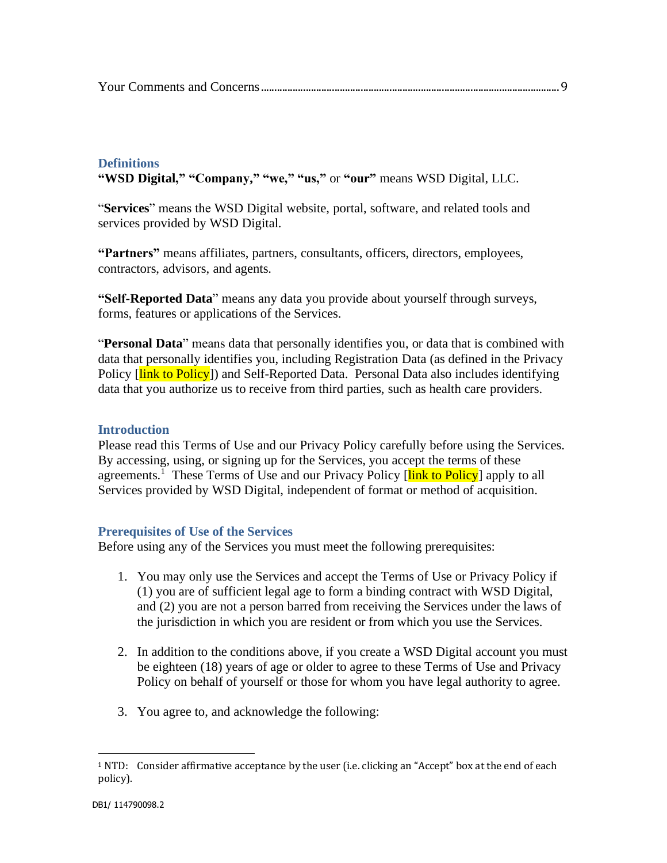# <span id="page-1-0"></span>**Definitions**

**"WSD Digital," "Company," "we," "us,"** or **"our"** means WSD Digital, LLC.

"**Services**" means the WSD Digital website, portal, software, and related tools and services provided by WSD Digital.

**"Partners"** means affiliates, partners, consultants, officers, directors, employees, contractors, advisors, and agents.

**"Self-Reported Data**" means any data you provide about yourself through surveys, forms, features or applications of the Services.

"**Personal Data**" means data that personally identifies you, or data that is combined with data that personally identifies you, including Registration Data (as defined in the Privacy Policy [link to Policy]) and Self-Reported Data. Personal Data also includes identifying data that you authorize us to receive from third parties, such as health care providers.

## <span id="page-1-1"></span>**Introduction**

Please read this Terms of Use and our Privacy Policy carefully before using the Services. By accessing, using, or signing up for the Services, you accept the terms of these agreements.<sup>1</sup> These Terms of Use and our Privacy Policy [link to Policy] apply to all Services provided by WSD Digital, independent of format or method of acquisition.

## <span id="page-1-2"></span>**Prerequisites of Use of the Services**

Before using any of the Services you must meet the following prerequisites:

- 1. You may only use the Services and accept the Terms of Use or Privacy Policy if (1) you are of sufficient legal age to form a binding contract with WSD Digital, and (2) you are not a person barred from receiving the Services under the laws of the jurisdiction in which you are resident or from which you use the Services.
- 2. In addition to the conditions above, if you create a WSD Digital account you must be eighteen (18) years of age or older to agree to these Terms of Use and Privacy Policy on behalf of yourself or those for whom you have legal authority to agree.
- 3. You agree to, and acknowledge the following:

 $1$  NTD: Consider affirmative acceptance by the user (i.e. clicking an "Accept" box at the end of each policy).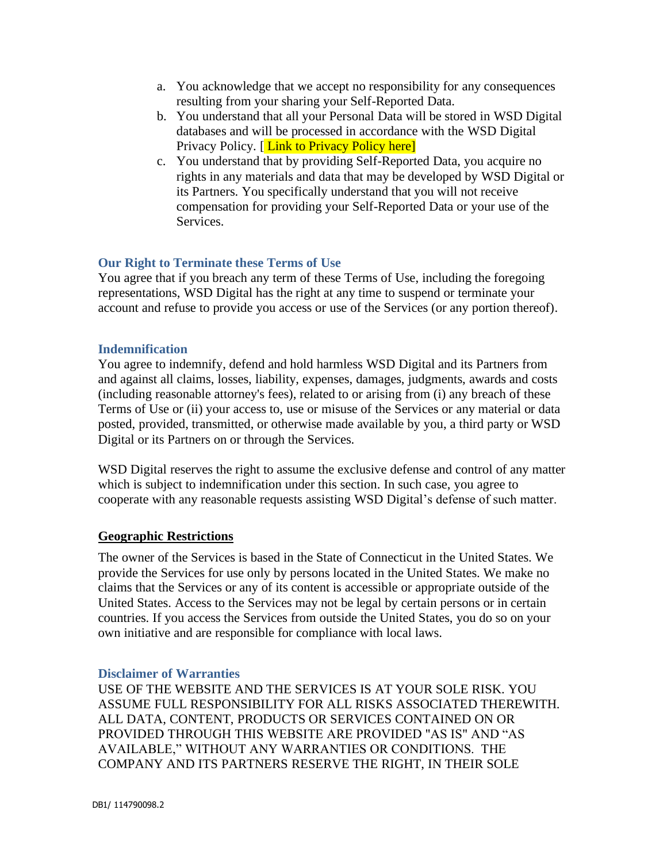- a. You acknowledge that we accept no responsibility for any consequences resulting from your sharing your Self-Reported Data.
- b. You understand that all your Personal Data will be stored in WSD Digital databases and will be processed in accordance with the WSD Digital Privacy Policy. [Link to Privacy Policy here]
- c. You understand that by providing Self-Reported Data, you acquire no rights in any materials and data that may be developed by WSD Digital or its Partners. You specifically understand that you will not receive compensation for providing your Self-Reported Data or your use of the Services.

# <span id="page-2-0"></span>**Our Right to Terminate these Terms of Use**

You agree that if you breach any term of these Terms of Use, including the foregoing representations, WSD Digital has the right at any time to suspend or terminate your account and refuse to provide you access or use of the Services (or any portion thereof).

# <span id="page-2-1"></span>**Indemnification**

You agree to indemnify, defend and hold harmless WSD Digital and its Partners from and against all claims, losses, liability, expenses, damages, judgments, awards and costs (including reasonable attorney's fees), related to or arising from (i) any breach of these Terms of Use or (ii) your access to, use or misuse of the Services or any material or data posted, provided, transmitted, or otherwise made available by you, a third party or WSD Digital or its Partners on or through the Services.

WSD Digital reserves the right to assume the exclusive defense and control of any matter which is subject to indemnification under this section. In such case, you agree to cooperate with any reasonable requests assisting WSD Digital's defense of such matter.

# <span id="page-2-2"></span>**Geographic Restrictions**

The owner of the Services is based in the State of Connecticut in the United States. We provide the Services for use only by persons located in the United States. We make no claims that the Services or any of its content is accessible or appropriate outside of the United States. Access to the Services may not be legal by certain persons or in certain countries. If you access the Services from outside the United States, you do so on your own initiative and are responsible for compliance with local laws.

## **Disclaimer of Warranties**

USE OF THE WEBSITE AND THE SERVICES IS AT YOUR SOLE RISK. YOU ASSUME FULL RESPONSIBILITY FOR ALL RISKS ASSOCIATED THEREWITH. ALL DATA, CONTENT, PRODUCTS OR SERVICES CONTAINED ON OR PROVIDED THROUGH THIS WEBSITE ARE PROVIDED "AS IS" AND "AS AVAILABLE," WITHOUT ANY WARRANTIES OR CONDITIONS. THE COMPANY AND ITS PARTNERS RESERVE THE RIGHT, IN THEIR SOLE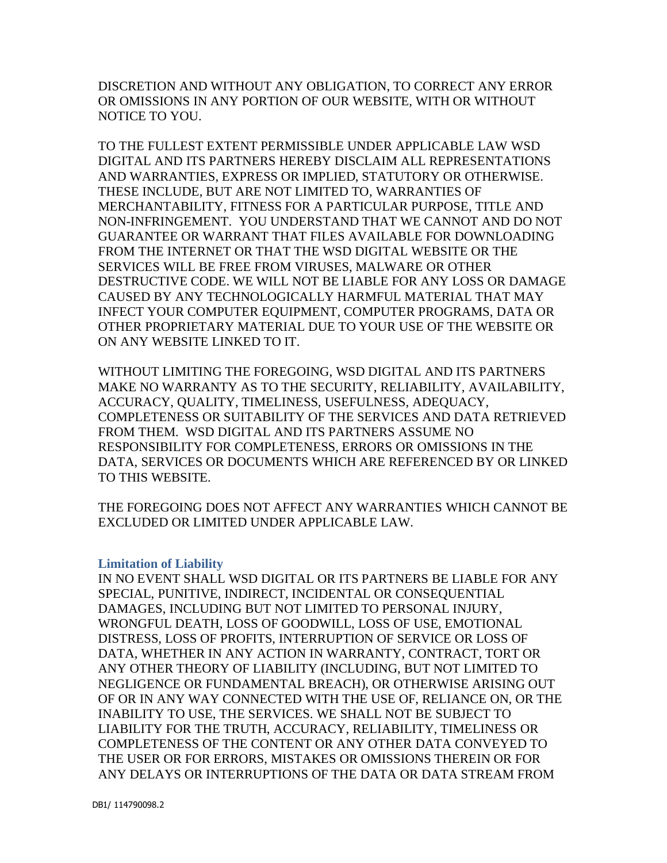DISCRETION AND WITHOUT ANY OBLIGATION, TO CORRECT ANY ERROR OR OMISSIONS IN ANY PORTION OF OUR WEBSITE, WITH OR WITHOUT NOTICE TO YOU.

TO THE FULLEST EXTENT PERMISSIBLE UNDER APPLICABLE LAW WSD DIGITAL AND ITS PARTNERS HEREBY DISCLAIM ALL REPRESENTATIONS AND WARRANTIES, EXPRESS OR IMPLIED, STATUTORY OR OTHERWISE. THESE INCLUDE, BUT ARE NOT LIMITED TO, WARRANTIES OF MERCHANTABILITY, FITNESS FOR A PARTICULAR PURPOSE, TITLE AND NON-INFRINGEMENT. YOU UNDERSTAND THAT WE CANNOT AND DO NOT GUARANTEE OR WARRANT THAT FILES AVAILABLE FOR DOWNLOADING FROM THE INTERNET OR THAT THE WSD DIGITAL WEBSITE OR THE SERVICES WILL BE FREE FROM VIRUSES, MALWARE OR OTHER DESTRUCTIVE CODE. WE WILL NOT BE LIABLE FOR ANY LOSS OR DAMAGE CAUSED BY ANY TECHNOLOGICALLY HARMFUL MATERIAL THAT MAY INFECT YOUR COMPUTER EQUIPMENT, COMPUTER PROGRAMS, DATA OR OTHER PROPRIETARY MATERIAL DUE TO YOUR USE OF THE WEBSITE OR ON ANY WEBSITE LINKED TO IT.

WITHOUT LIMITING THE FOREGOING, WSD DIGITAL AND ITS PARTNERS MAKE NO WARRANTY AS TO THE SECURITY, RELIABILITY, AVAILABILITY, ACCURACY, QUALITY, TIMELINESS, USEFULNESS, ADEQUACY, COMPLETENESS OR SUITABILITY OF THE SERVICES AND DATA RETRIEVED FROM THEM. WSD DIGITAL AND ITS PARTNERS ASSUME NO RESPONSIBILITY FOR COMPLETENESS, ERRORS OR OMISSIONS IN THE DATA, SERVICES OR DOCUMENTS WHICH ARE REFERENCED BY OR LINKED TO THIS WEBSITE.

THE FOREGOING DOES NOT AFFECT ANY WARRANTIES WHICH CANNOT BE EXCLUDED OR LIMITED UNDER APPLICABLE LAW.

## <span id="page-3-0"></span>**Limitation of Liability**

IN NO EVENT SHALL WSD DIGITAL OR ITS PARTNERS BE LIABLE FOR ANY SPECIAL, PUNITIVE, INDIRECT, INCIDENTAL OR CONSEQUENTIAL DAMAGES, INCLUDING BUT NOT LIMITED TO PERSONAL INJURY, WRONGFUL DEATH, LOSS OF GOODWILL, LOSS OF USE, EMOTIONAL DISTRESS, LOSS OF PROFITS, INTERRUPTION OF SERVICE OR LOSS OF DATA, WHETHER IN ANY ACTION IN WARRANTY, CONTRACT, TORT OR ANY OTHER THEORY OF LIABILITY (INCLUDING, BUT NOT LIMITED TO NEGLIGENCE OR FUNDAMENTAL BREACH), OR OTHERWISE ARISING OUT OF OR IN ANY WAY CONNECTED WITH THE USE OF, RELIANCE ON, OR THE INABILITY TO USE, THE SERVICES. WE SHALL NOT BE SUBJECT TO LIABILITY FOR THE TRUTH, ACCURACY, RELIABILITY, TIMELINESS OR COMPLETENESS OF THE CONTENT OR ANY OTHER DATA CONVEYED TO THE USER OR FOR ERRORS, MISTAKES OR OMISSIONS THEREIN OR FOR ANY DELAYS OR INTERRUPTIONS OF THE DATA OR DATA STREAM FROM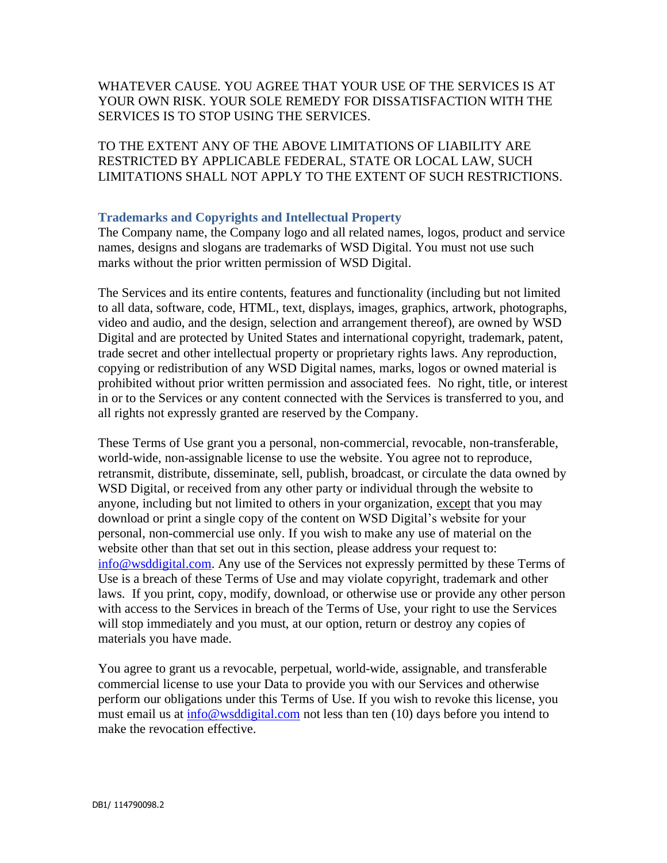# WHATEVER CAUSE. YOU AGREE THAT YOUR USE OF THE SERVICES IS AT YOUR OWN RISK. YOUR SOLE REMEDY FOR DISSATISFACTION WITH THE SERVICES IS TO STOP USING THE SERVICES.

TO THE EXTENT ANY OF THE ABOVE LIMITATIONS OF LIABILITY ARE RESTRICTED BY APPLICABLE FEDERAL, STATE OR LOCAL LAW, SUCH LIMITATIONS SHALL NOT APPLY TO THE EXTENT OF SUCH RESTRICTIONS.

# <span id="page-4-0"></span>**Trademarks and Copyrights and Intellectual Property**

The Company name, the Company logo and all related names, logos, product and service names, designs and slogans are trademarks of WSD Digital. You must not use such marks without the prior written permission of WSD Digital.

The Services and its entire contents, features and functionality (including but not limited to all data, software, code, HTML, text, displays, images, graphics, artwork, photographs, video and audio, and the design, selection and arrangement thereof), are owned by WSD Digital and are protected by United States and international copyright, trademark, patent, trade secret and other intellectual property or proprietary rights laws. Any reproduction, copying or redistribution of any WSD Digital names, marks, logos or owned material is prohibited without prior written permission and associated fees. No right, title, or interest in or to the Services or any content connected with the Services is transferred to you, and all rights not expressly granted are reserved by the Company.

These Terms of Use grant you a personal, non-commercial, revocable, non-transferable, world-wide, non-assignable license to use the website. You agree not to reproduce, retransmit, distribute, disseminate, sell, publish, broadcast, or circulate the data owned by WSD Digital, or received from any other party or individual through the website to anyone, including but not limited to others in your organization, except that you may download or print a single copy of the content on WSD Digital's website for your personal, non-commercial use only. If you wish to make any use of material on the website other than that set out in this section, please address your request to: [info@wsddigital.com.](mailto:info@wsddigital.com) Any use of the Services not expressly permitted by these Terms of Use is a breach of these Terms of Use and may violate copyright, trademark and other laws. If you print, copy, modify, download, or otherwise use or provide any other person with access to the Services in breach of the Terms of Use, your right to use the Services will stop immediately and you must, at our option, return or destroy any copies of materials you have made.

You agree to grant us a revocable, perpetual, world-wide, assignable, and transferable commercial license to use your Data to provide you with our Services and otherwise perform our obligations under this Terms of Use. If you wish to revoke this license, you must email us at [info@wsddigital.com](mailto:info@wsddigital.com) not less than ten (10) days before you intend to make the revocation effective.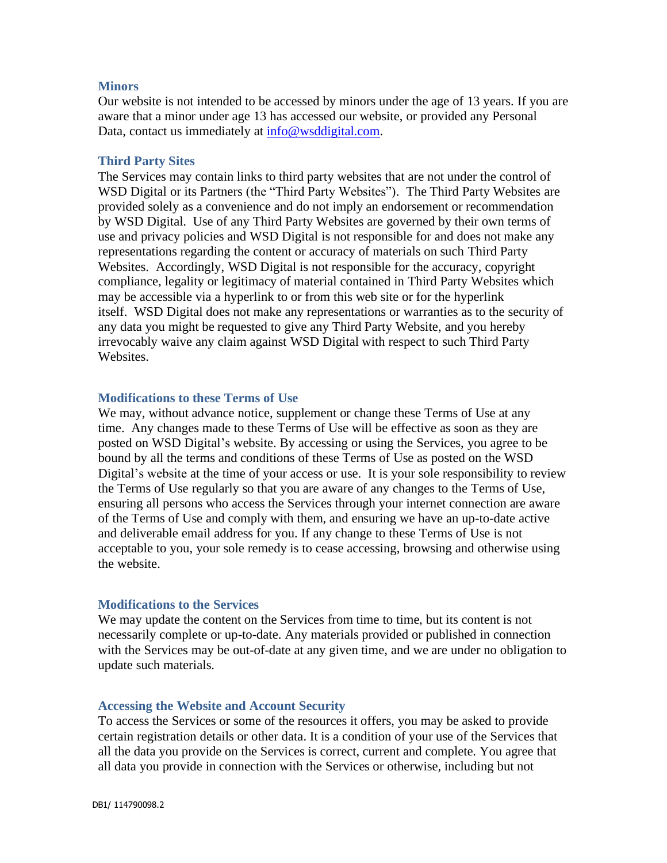### <span id="page-5-0"></span>**Minors**

<span id="page-5-1"></span>Our website is not intended to be accessed by minors under the age of 13 years. If you are aware that a minor under age 13 has accessed our website, or provided any Personal Data, contact us immediately at  $\frac{info@wsddigital.com}{implies}$ .

#### **Third Party Sites**

The Services may contain links to third party websites that are not under the control of WSD Digital or its Partners (the "Third Party Websites"). The Third Party Websites are provided solely as a convenience and do not imply an endorsement or recommendation by WSD Digital. Use of any Third Party Websites are governed by their own terms of use and privacy policies and WSD Digital is not responsible for and does not make any representations regarding the content or accuracy of materials on such Third Party Websites. Accordingly, WSD Digital is not responsible for the accuracy, copyright compliance, legality or legitimacy of material contained in Third Party Websites which may be accessible via a hyperlink to or from this web site or for the hyperlink itself. WSD Digital does not make any representations or warranties as to the security of any data you might be requested to give any Third Party Website, and you hereby irrevocably waive any claim against WSD Digital with respect to such Third Party Websites.

## <span id="page-5-2"></span>**Modifications to these Terms of Use**

We may, without advance notice, supplement or change these Terms of Use at any time. Any changes made to these Terms of Use will be effective as soon as they are posted on WSD Digital's website. By accessing or using the Services, you agree to be bound by all the terms and conditions of these Terms of Use as posted on the WSD Digital's website at the time of your access or use. It is your sole responsibility to review the Terms of Use regularly so that you are aware of any changes to the Terms of Use, ensuring all persons who access the Services through your internet connection are aware of the Terms of Use and comply with them, and ensuring we have an up-to-date active and deliverable email address for you. If any change to these Terms of Use is not acceptable to you, your sole remedy is to cease accessing, browsing and otherwise using the website.

#### <span id="page-5-3"></span>**Modifications to the Services**

We may update the content on the Services from time to time, but its content is not necessarily complete or up-to-date. Any materials provided or published in connection with the Services may be out-of-date at any given time, and we are under no obligation to update such materials.

#### <span id="page-5-4"></span>**Accessing the Website and Account Security**

To access the Services or some of the resources it offers, you may be asked to provide certain registration details or other data. It is a condition of your use of the Services that all the data you provide on the Services is correct, current and complete. You agree that all data you provide in connection with the Services or otherwise, including but not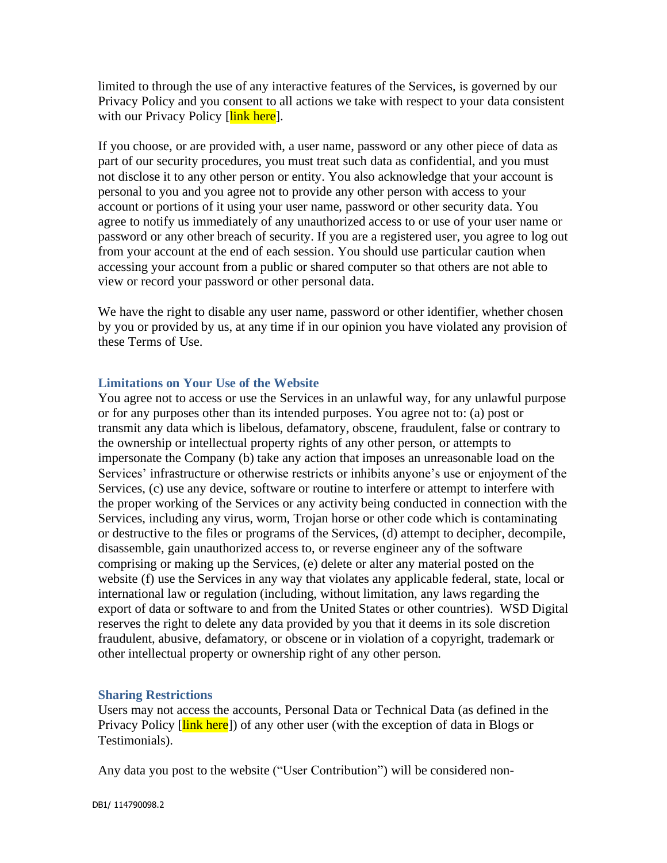limited to through the use of any interactive features of the Services, is governed by our Privacy Policy and you consent to all actions we take with respect to your data consistent with our Privacy Policy [link here].

If you choose, or are provided with, a user name, password or any other piece of data as part of our security procedures, you must treat such data as confidential, and you must not disclose it to any other person or entity. You also acknowledge that your account is personal to you and you agree not to provide any other person with access to your account or portions of it using your user name, password or other security data. You agree to notify us immediately of any unauthorized access to or use of your user name or password or any other breach of security. If you are a registered user, you agree to log out from your account at the end of each session. You should use particular caution when accessing your account from a public or shared computer so that others are not able to view or record your password or other personal data.

We have the right to disable any user name, password or other identifier, whether chosen by you or provided by us, at any time if in our opinion you have violated any provision of these Terms of Use.

## <span id="page-6-0"></span>**Limitations on Your Use of the Website**

You agree not to access or use the Services in an unlawful way, for any unlawful purpose or for any purposes other than its intended purposes. You agree not to: (a) post or transmit any data which is libelous, defamatory, obscene, fraudulent, false or contrary to the ownership or intellectual property rights of any other person, or attempts to impersonate the Company (b) take any action that imposes an unreasonable load on the Services' infrastructure or otherwise restricts or inhibits anyone's use or enjoyment of the Services, (c) use any device, software or routine to interfere or attempt to interfere with the proper working of the Services or any activity being conducted in connection with the Services, including any virus, worm, Trojan horse or other code which is contaminating or destructive to the files or programs of the Services, (d) attempt to decipher, decompile, disassemble, gain unauthorized access to, or reverse engineer any of the software comprising or making up the Services, (e) delete or alter any material posted on the website (f) use the Services in any way that violates any applicable federal, state, local or international law or regulation (including, without limitation, any laws regarding the export of data or software to and from the United States or other countries). WSD Digital reserves the right to delete any data provided by you that it deems in its sole discretion fraudulent, abusive, defamatory, or obscene or in violation of a copyright, trademark or other intellectual property or ownership right of any other person.

# <span id="page-6-1"></span>**Sharing Restrictions**

Users may not access the accounts, Personal Data or Technical Data (as defined in the Privacy Policy [link here]) of any other user (with the exception of data in Blogs or Testimonials).

Any data you post to the website ("User Contribution") will be considered non-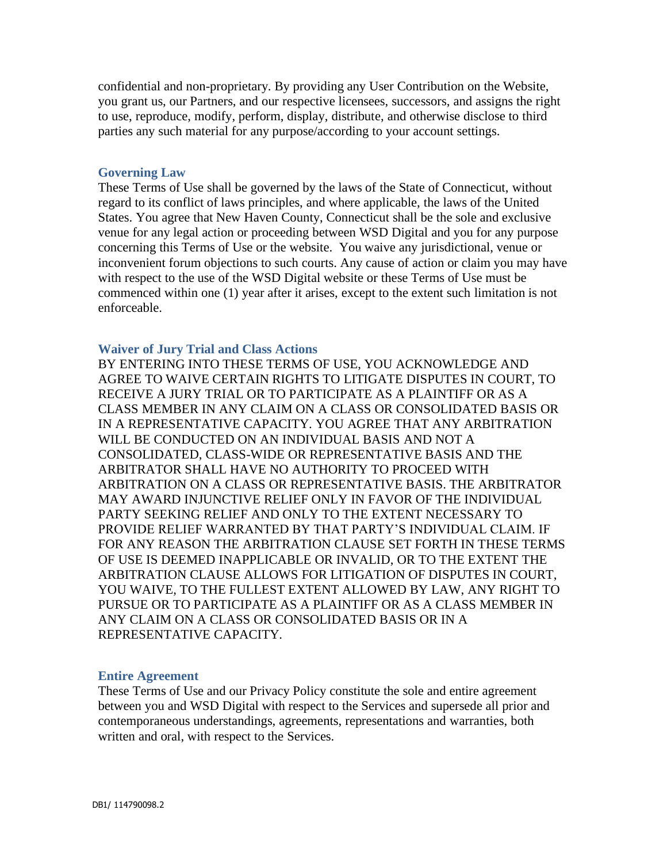confidential and non-proprietary. By providing any User Contribution on the Website, you grant us, our Partners, and our respective licensees, successors, and assigns the right to use, reproduce, modify, perform, display, distribute, and otherwise disclose to third parties any such material for any purpose/according to your account settings.

#### <span id="page-7-0"></span>**Governing Law**

These Terms of Use shall be governed by the laws of the State of Connecticut, without regard to its conflict of laws principles, and where applicable, the laws of the United States. You agree that New Haven County, Connecticut shall be the sole and exclusive venue for any legal action or proceeding between WSD Digital and you for any purpose concerning this Terms of Use or the website. You waive any jurisdictional, venue or inconvenient forum objections to such courts. Any cause of action or claim you may have with respect to the use of the WSD Digital website or these Terms of Use must be commenced within one (1) year after it arises, except to the extent such limitation is not enforceable.

#### <span id="page-7-1"></span>**Waiver of Jury Trial and Class Actions**

BY ENTERING INTO THESE TERMS OF USE, YOU ACKNOWLEDGE AND AGREE TO WAIVE CERTAIN RIGHTS TO LITIGATE DISPUTES IN COURT, TO RECEIVE A JURY TRIAL OR TO PARTICIPATE AS A PLAINTIFF OR AS A CLASS MEMBER IN ANY CLAIM ON A CLASS OR CONSOLIDATED BASIS OR IN A REPRESENTATIVE CAPACITY. YOU AGREE THAT ANY ARBITRATION WILL BE CONDUCTED ON AN INDIVIDUAL BASIS AND NOT A CONSOLIDATED, CLASS-WIDE OR REPRESENTATIVE BASIS AND THE ARBITRATOR SHALL HAVE NO AUTHORITY TO PROCEED WITH ARBITRATION ON A CLASS OR REPRESENTATIVE BASIS. THE ARBITRATOR MAY AWARD INJUNCTIVE RELIEF ONLY IN FAVOR OF THE INDIVIDUAL PARTY SEEKING RELIEF AND ONLY TO THE EXTENT NECESSARY TO PROVIDE RELIEF WARRANTED BY THAT PARTY'S INDIVIDUAL CLAIM. IF FOR ANY REASON THE ARBITRATION CLAUSE SET FORTH IN THESE TERMS OF USE IS DEEMED INAPPLICABLE OR INVALID, OR TO THE EXTENT THE ARBITRATION CLAUSE ALLOWS FOR LITIGATION OF DISPUTES IN COURT, YOU WAIVE, TO THE FULLEST EXTENT ALLOWED BY LAW, ANY RIGHT TO PURSUE OR TO PARTICIPATE AS A PLAINTIFF OR AS A CLASS MEMBER IN ANY CLAIM ON A CLASS OR CONSOLIDATED BASIS OR IN A REPRESENTATIVE CAPACITY.

#### <span id="page-7-2"></span>**Entire Agreement**

These Terms of Use and our Privacy Policy constitute the sole and entire agreement between you and WSD Digital with respect to the Services and supersede all prior and contemporaneous understandings, agreements, representations and warranties, both written and oral, with respect to the Services.